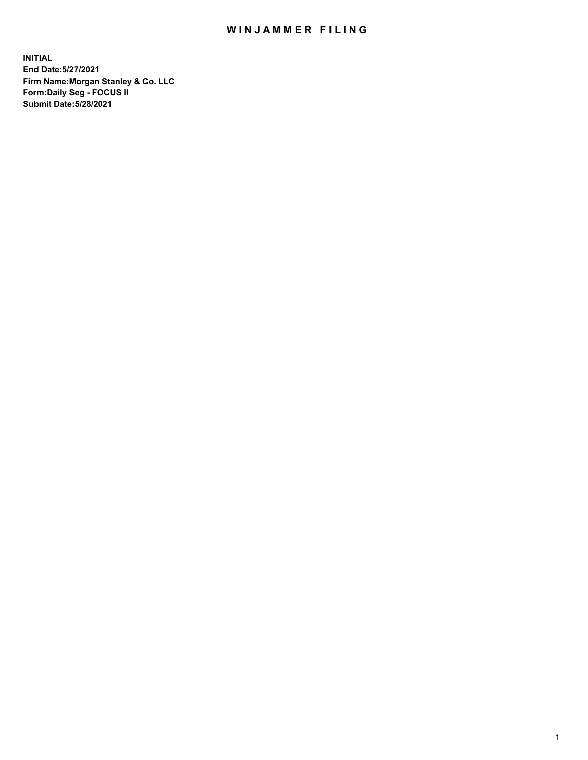## WIN JAMMER FILING

**INITIAL End Date:5/27/2021 Firm Name:Morgan Stanley & Co. LLC Form:Daily Seg - FOCUS II Submit Date:5/28/2021**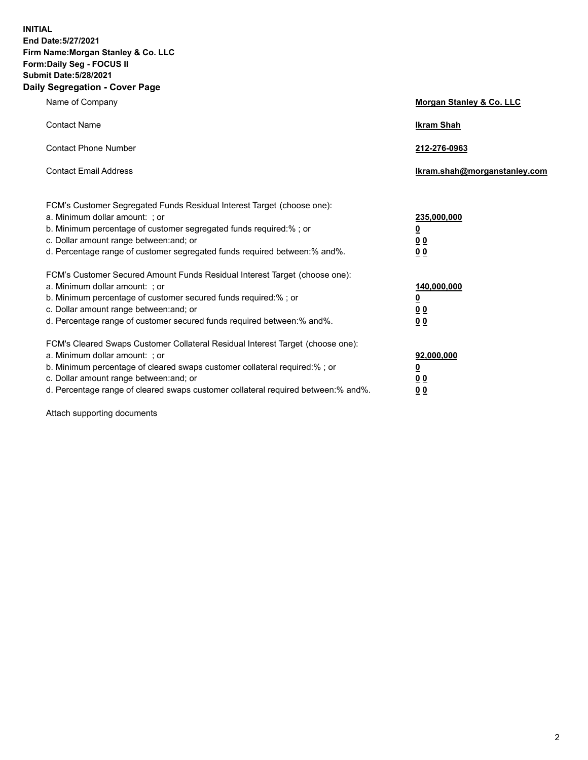**INITIAL End Date:5/27/2021 Firm Name:Morgan Stanley & Co. LLC Form:Daily Seg - FOCUS II Submit Date:5/28/2021 Daily Segregation - Cover Page**

| Name of Company                                                                                                                                                                                                                                                                                                                | <b>Morgan Stanley &amp; Co. LLC</b>                         |
|--------------------------------------------------------------------------------------------------------------------------------------------------------------------------------------------------------------------------------------------------------------------------------------------------------------------------------|-------------------------------------------------------------|
| <b>Contact Name</b>                                                                                                                                                                                                                                                                                                            | <b>Ikram Shah</b>                                           |
| <b>Contact Phone Number</b>                                                                                                                                                                                                                                                                                                    | 212-276-0963                                                |
| <b>Contact Email Address</b>                                                                                                                                                                                                                                                                                                   | Ikram.shah@morganstanley.com                                |
| FCM's Customer Segregated Funds Residual Interest Target (choose one):<br>a. Minimum dollar amount: ; or<br>b. Minimum percentage of customer segregated funds required:% ; or<br>c. Dollar amount range between: and; or<br>d. Percentage range of customer segregated funds required between:% and%.                         | 235,000,000<br><u>0</u><br>0 <sub>0</sub><br>0 <sub>0</sub> |
| FCM's Customer Secured Amount Funds Residual Interest Target (choose one):<br>a. Minimum dollar amount: ; or<br>b. Minimum percentage of customer secured funds required:%; or<br>c. Dollar amount range between: and; or<br>d. Percentage range of customer secured funds required between:% and%.                            | 140,000,000<br><u>0</u><br>0 <sub>0</sub><br>0 <sub>0</sub> |
| FCM's Cleared Swaps Customer Collateral Residual Interest Target (choose one):<br>a. Minimum dollar amount: ; or<br>b. Minimum percentage of cleared swaps customer collateral required:% ; or<br>c. Dollar amount range between: and; or<br>d. Percentage range of cleared swaps customer collateral required between:% and%. | 92,000,000<br><u>0</u><br><u>00</u><br>00                   |

Attach supporting documents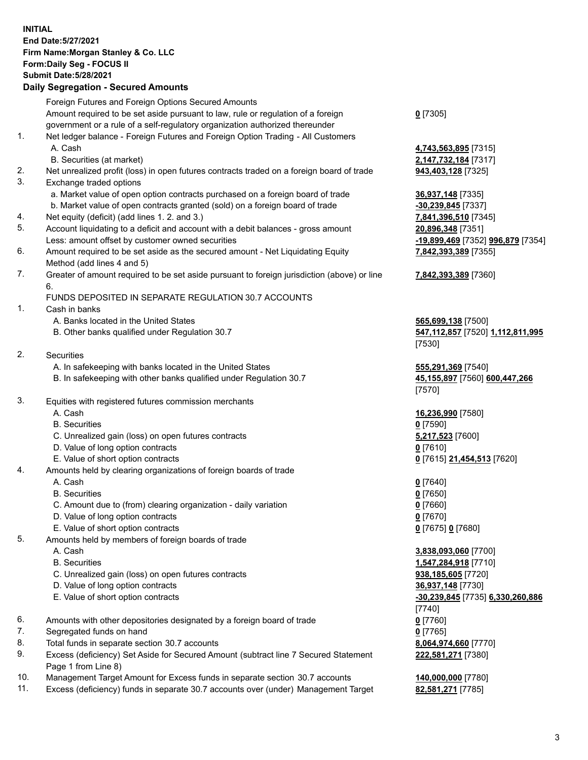## **INITIAL End Date:5/27/2021 Firm Name:Morgan Stanley & Co. LLC Form:Daily Seg - FOCUS II Submit Date:5/28/2021**

## **Daily Segregation - Secured Amounts**

Foreign Futures and Foreign Options Secured Amounts Amount required to be set aside pursuant to law, rule or regulation of a foreign government or a rule of a self-regulatory organization authorized thereunder **0** [7305] 1. Net ledger balance - Foreign Futures and Foreign Option Trading - All Customers A. Cash **4,743,563,895** [7315] B. Securities (at market) **2,147,732,184** [7317] 2. Net unrealized profit (loss) in open futures contracts traded on a foreign board of trade **943,403,128** [7325] 3. Exchange traded options a. Market value of open option contracts purchased on a foreign board of trade **36,937,148** [7335] b. Market value of open contracts granted (sold) on a foreign board of trade **-30,239,845** [7337] 4. Net equity (deficit) (add lines 1. 2. and 3.) **7,841,396,510** [7345] 5. Account liquidating to a deficit and account with a debit balances - gross amount **20,896,348** [7351] Less: amount offset by customer owned securities **-19,899,469** [7352] **996,879** [7354] 6. Amount required to be set aside as the secured amount - Net Liquidating Equity Method (add lines 4 and 5) **7,842,393,389** [7355] 7. Greater of amount required to be set aside pursuant to foreign jurisdiction (above) or line 6. **7,842,393,389** [7360] FUNDS DEPOSITED IN SEPARATE REGULATION 30.7 ACCOUNTS 1. Cash in banks A. Banks located in the United States **565,699,138** [7500] B. Other banks qualified under Regulation 30.7 **547,112,857** [7520] **1,112,811,995** [7530] 2. Securities A. In safekeeping with banks located in the United States **555,291,369** [7540] B. In safekeeping with other banks qualified under Regulation 30.7 **45,155,897** [7560] **600,447,266** [7570] 3. Equities with registered futures commission merchants A. Cash **16,236,990** [7580] B. Securities **0** [7590] C. Unrealized gain (loss) on open futures contracts **5,217,523** [7600] D. Value of long option contracts **0** [7610] E. Value of short option contracts **0** [7615] **21,454,513** [7620] 4. Amounts held by clearing organizations of foreign boards of trade A. Cash **0** [7640] B. Securities **0** [7650] C. Amount due to (from) clearing organization - daily variation **0** [7660] D. Value of long option contracts **0** [7670] E. Value of short option contracts **0** [7675] **0** [7680] 5. Amounts held by members of foreign boards of trade A. Cash **3,838,093,060** [7700] B. Securities **1,547,284,918** [7710] C. Unrealized gain (loss) on open futures contracts **938,185,605** [7720] D. Value of long option contracts **36,937,148** [7730] E. Value of short option contracts **-30,239,845** [7735] **6,330,260,886** [7740] 6. Amounts with other depositories designated by a foreign board of trade **0** [7760] 7. Segregated funds on hand **0** [7765] 8. Total funds in separate section 30.7 accounts **8,064,974,660** [7770] 9. Excess (deficiency) Set Aside for Secured Amount (subtract line 7 Secured Statement Page 1 from Line 8) **222,581,271** [7380]

- 10. Management Target Amount for Excess funds in separate section 30.7 accounts **140,000,000** [7780]
- 11. Excess (deficiency) funds in separate 30.7 accounts over (under) Management Target **82,581,271** [7785]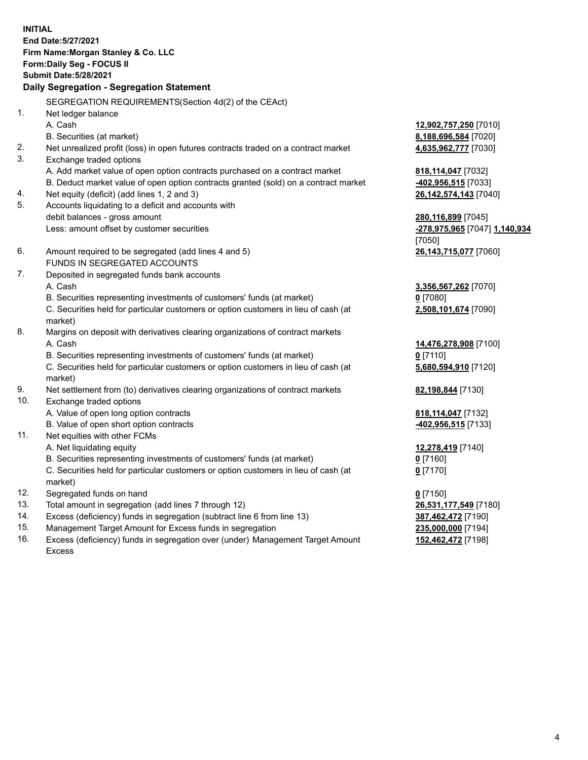**INITIAL End Date:5/27/2021 Firm Name:Morgan Stanley & Co. LLC Form:Daily Seg - FOCUS II Submit Date:5/28/2021 Daily Segregation - Segregation Statement** SEGREGATION REQUIREMENTS(Section 4d(2) of the CEAct) 1. Net ledger balance A. Cash **12,902,757,250** [7010] B. Securities (at market) **8,188,696,584** [7020] 2. Net unrealized profit (loss) in open futures contracts traded on a contract market **4,635,962,777** [7030] 3. Exchange traded options A. Add market value of open option contracts purchased on a contract market **818,114,047** [7032] B. Deduct market value of open option contracts granted (sold) on a contract market **-402,956,515** [7033] 4. Net equity (deficit) (add lines 1, 2 and 3) **26,142,574,143** [7040] 5. Accounts liquidating to a deficit and accounts with debit balances - gross amount **280,116,899** [7045] Less: amount offset by customer securities **-278,975,965** [7047] **1,140,934** [7050] 6. Amount required to be segregated (add lines 4 and 5) **26,143,715,077** [7060] FUNDS IN SEGREGATED ACCOUNTS 7. Deposited in segregated funds bank accounts A. Cash **3,356,567,262** [7070] B. Securities representing investments of customers' funds (at market) **0** [7080] C. Securities held for particular customers or option customers in lieu of cash (at market) **2,508,101,674** [7090] 8. Margins on deposit with derivatives clearing organizations of contract markets A. Cash **14,476,278,908** [7100] B. Securities representing investments of customers' funds (at market) **0** [7110] C. Securities held for particular customers or option customers in lieu of cash (at market) **5,680,594,910** [7120] 9. Net settlement from (to) derivatives clearing organizations of contract markets **82,198,844** [7130] 10. Exchange traded options A. Value of open long option contracts **818,114,047** [7132] B. Value of open short option contracts **-402,956,515** [7133] 11. Net equities with other FCMs A. Net liquidating equity **12,278,419** [7140] B. Securities representing investments of customers' funds (at market) **0** [7160] C. Securities held for particular customers or option customers in lieu of cash (at market) **0** [7170] 12. Segregated funds on hand **0** [7150] 13. Total amount in segregation (add lines 7 through 12) **26,531,177,549** [7180] 14. Excess (deficiency) funds in segregation (subtract line 6 from line 13) **387,462,472** [7190] 15. Management Target Amount for Excess funds in segregation **235,000,000** [7194]

16. Excess (deficiency) funds in segregation over (under) Management Target Amount Excess

**152,462,472** [7198]